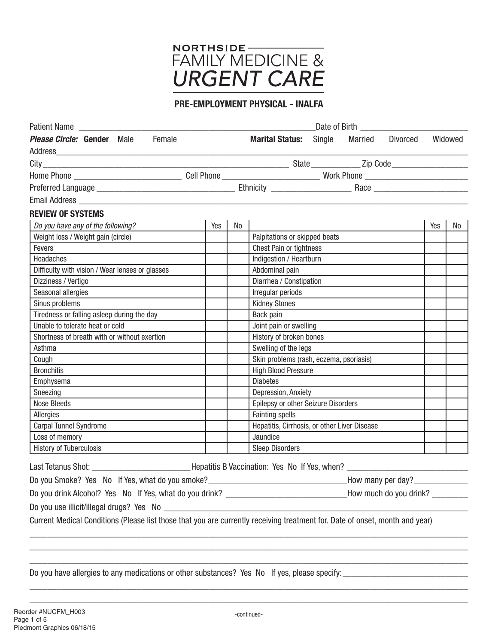

## PRE-EMPLOYMENT PHYSICAL - INALFA

| Patient Name<br>Date of Birth Date of Birth                                                                                  |     |    |                                              |        |                   |          |     |         |
|------------------------------------------------------------------------------------------------------------------------------|-----|----|----------------------------------------------|--------|-------------------|----------|-----|---------|
| Female<br><b>Please Circle: Gender</b> Male                                                                                  |     |    | <b>Marital Status:</b>                       | Single | Married           | Divorced |     | Widowed |
|                                                                                                                              |     |    |                                              |        |                   |          |     |         |
|                                                                                                                              |     |    |                                              |        |                   |          |     |         |
|                                                                                                                              |     |    |                                              |        |                   |          |     |         |
|                                                                                                                              |     |    |                                              |        |                   |          |     |         |
|                                                                                                                              |     |    |                                              |        |                   |          |     |         |
| <b>REVIEW OF SYSTEMS</b>                                                                                                     |     |    |                                              |        |                   |          |     |         |
| Do you have any of the following?                                                                                            | Yes | No |                                              |        |                   |          | Yes | No      |
| Weight loss / Weight gain (circle)                                                                                           |     |    | Palpitations or skipped beats                |        |                   |          |     |         |
| Fevers                                                                                                                       |     |    | <b>Chest Pain or tightness</b>               |        |                   |          |     |         |
| Headaches                                                                                                                    |     |    | Indigestion / Heartburn                      |        |                   |          |     |         |
| Difficulty with vision / Wear lenses or glasses                                                                              |     |    | Abdominal pain                               |        |                   |          |     |         |
| Dizziness / Vertigo                                                                                                          |     |    | Diarrhea / Constipation                      |        |                   |          |     |         |
| Seasonal allergies                                                                                                           |     |    | Irregular periods                            |        |                   |          |     |         |
| Sinus problems                                                                                                               |     |    | <b>Kidney Stones</b>                         |        |                   |          |     |         |
| Tiredness or falling asleep during the day                                                                                   |     |    | Back pain                                    |        |                   |          |     |         |
| Unable to tolerate heat or cold                                                                                              |     |    | Joint pain or swelling                       |        |                   |          |     |         |
| Shortness of breath with or without exertion                                                                                 |     |    | History of broken bones                      |        |                   |          |     |         |
| Asthma                                                                                                                       |     |    | Swelling of the legs                         |        |                   |          |     |         |
| Cough                                                                                                                        |     |    | Skin problems (rash, eczema, psoriasis)      |        |                   |          |     |         |
| <b>Bronchitis</b>                                                                                                            |     |    | <b>High Blood Pressure</b>                   |        |                   |          |     |         |
| Emphysema                                                                                                                    |     |    | <b>Diabetes</b>                              |        |                   |          |     |         |
| Sneezing                                                                                                                     |     |    | Depression, Anxiety                          |        |                   |          |     |         |
| <b>Nose Bleeds</b>                                                                                                           |     |    | Epilepsy or other Seizure Disorders          |        |                   |          |     |         |
| Allergies                                                                                                                    |     |    | <b>Fainting spells</b>                       |        |                   |          |     |         |
| Carpal Tunnel Syndrome                                                                                                       |     |    | Hepatitis, Cirrhosis, or other Liver Disease |        |                   |          |     |         |
| Loss of memory                                                                                                               |     |    | Jaundice                                     |        |                   |          |     |         |
| <b>History of Tuberculosis</b>                                                                                               |     |    | <b>Sleep Disorders</b>                       |        |                   |          |     |         |
| Last Tetanus Shot: __________________________________Hepatitis B Vaccination: Yes No If Yes, when? ______                    |     |    |                                              |        |                   |          |     |         |
| Do you Smoke? Yes No If Yes, what do you smoke?                                                                              |     |    |                                              |        | How many per day? |          |     |         |
| Do you drink Alcohol? Yes No If Yes, what do you drink? __________________________How much do you drink? ______              |     |    |                                              |        |                   |          |     |         |
|                                                                                                                              |     |    |                                              |        |                   |          |     |         |
| Current Medical Conditions (Please list those that you are currently receiving treatment for. Date of onset, month and year) |     |    |                                              |        |                   |          |     |         |
|                                                                                                                              |     |    |                                              |        |                   |          |     |         |
|                                                                                                                              |     |    |                                              |        |                   |          |     |         |
|                                                                                                                              |     |    |                                              |        |                   |          |     |         |

Do you have allergies to any medications or other substances? Yes No If yes, please specify:

\_\_\_\_\_\_\_\_\_\_\_\_\_\_\_\_\_\_\_\_\_\_\_\_\_\_\_\_\_\_\_\_\_\_\_\_\_\_\_\_\_\_\_\_\_\_\_\_\_\_\_\_\_\_\_\_\_\_\_\_\_\_\_\_\_\_\_\_\_\_\_\_\_\_\_\_\_\_\_\_\_\_\_\_\_\_\_\_\_\_\_\_\_\_\_\_\_\_

\_\_\_\_\_\_\_\_\_\_\_\_\_\_\_\_\_\_\_\_\_\_\_\_\_\_\_\_\_\_\_\_\_\_\_\_\_\_\_\_\_\_\_\_\_\_\_\_\_\_\_\_\_\_\_\_\_\_\_\_\_\_\_\_\_\_\_\_\_\_\_\_\_\_\_\_\_\_\_\_\_\_\_\_\_\_\_\_\_\_\_\_\_\_\_\_\_\_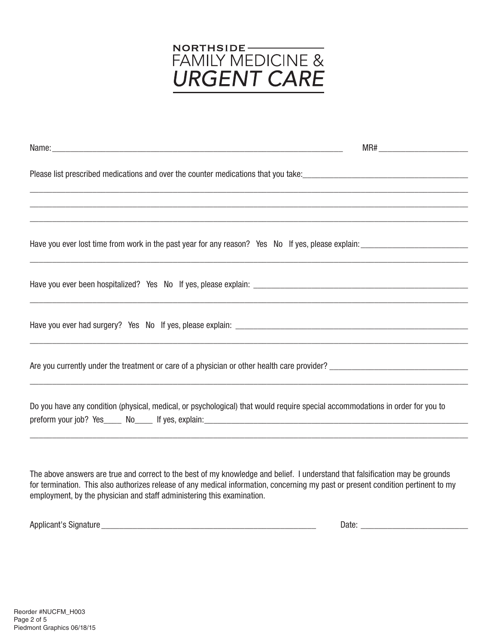

| ,一个人的人都是一个人的人,我们就是一个人的人,我们就是一个人的人,我们就是一个人的人,我们就是一个人的人,我们就是一个人的人,我们就是一个人的人,我们就是一个人                                             |  |  |  |  |  |
|-------------------------------------------------------------------------------------------------------------------------------|--|--|--|--|--|
|                                                                                                                               |  |  |  |  |  |
|                                                                                                                               |  |  |  |  |  |
|                                                                                                                               |  |  |  |  |  |
| Are you currently under the treatment or care of a physician or other health care provider?                                   |  |  |  |  |  |
| Do you have any condition (physical, medical, or psychological) that would require special accommodations in order for you to |  |  |  |  |  |
|                                                                                                                               |  |  |  |  |  |

The above answers are true and correct to the best of my knowledge and belief. I understand that falsification may be grounds for termination. This also authorizes release of any medical information, concerning my past or present condition pertinent to my employment, by the physician and staff administering this examination.

| *ure.<br>Annlicant<br>aldnarٽ<br>. . | vate |
|--------------------------------------|------|
|                                      |      |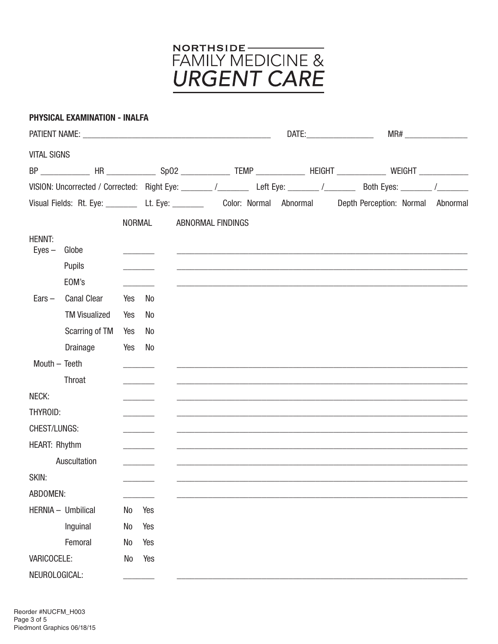

|                           | <b>PHYSICAL EXAMINATION - INALFA</b> |               |                              |                   |  |                                                                                                                  |  |
|---------------------------|--------------------------------------|---------------|------------------------------|-------------------|--|------------------------------------------------------------------------------------------------------------------|--|
|                           |                                      |               |                              |                   |  |                                                                                                                  |  |
| <b>VITAL SIGNS</b>        |                                      |               |                              |                   |  |                                                                                                                  |  |
|                           |                                      |               |                              |                   |  | BP ____________ HR _____________ Sp02 ____________ TEMP _____________ HEIGHT ____________ WEIGHT _____________   |  |
|                           |                                      |               |                              |                   |  | VISION: Uncorrected / Corrected: Right Eye: ______ /_______ Left Eye: ______ /_______ Both Eyes: ______ /_______ |  |
|                           |                                      |               |                              |                   |  | Visual Fields: Rt. Eye: _________ Lt. Eye: ________ Color: Normal Abnormal Depth Perception: Normal Abnormal     |  |
|                           |                                      | <b>NORMAL</b> |                              | ABNORMAL FINDINGS |  |                                                                                                                  |  |
| <b>HENNT:</b><br>$Eyes -$ | Globe                                |               |                              |                   |  |                                                                                                                  |  |
|                           | Pupils                               |               |                              |                   |  |                                                                                                                  |  |
|                           | EOM's                                |               |                              |                   |  |                                                                                                                  |  |
| $Ears -$                  | <b>Canal Clear</b>                   | Yes           | No                           |                   |  |                                                                                                                  |  |
|                           | <b>TM Visualized</b>                 | Yes           | No                           |                   |  |                                                                                                                  |  |
|                           | Scarring of TM                       | Yes           | No                           |                   |  |                                                                                                                  |  |
|                           | Drainage                             | Yes           | No                           |                   |  |                                                                                                                  |  |
|                           | Mouth - Teeth                        |               |                              |                   |  |                                                                                                                  |  |
|                           | Throat                               |               |                              |                   |  |                                                                                                                  |  |
| NECK:                     |                                      |               |                              |                   |  |                                                                                                                  |  |
| THYROID:                  |                                      |               |                              |                   |  |                                                                                                                  |  |
| CHEST/LUNGS:              |                                      |               | <u> Liberatura de la pro</u> |                   |  |                                                                                                                  |  |
| <b>HEART: Rhythm</b>      |                                      |               |                              |                   |  |                                                                                                                  |  |
|                           | Auscultation                         |               |                              |                   |  |                                                                                                                  |  |
| SKIN:                     |                                      |               |                              |                   |  |                                                                                                                  |  |
| ABDOMEN:                  |                                      |               |                              |                   |  |                                                                                                                  |  |
|                           | HERNIA - Umbilical                   | No            | Yes                          |                   |  |                                                                                                                  |  |
|                           | Inguinal                             | No            | Yes                          |                   |  |                                                                                                                  |  |
|                           | Femoral                              | No            | Yes                          |                   |  |                                                                                                                  |  |
| VARICOCELE:               |                                      | No            | Yes                          |                   |  |                                                                                                                  |  |
| NEUROLOGICAL:             |                                      |               |                              |                   |  |                                                                                                                  |  |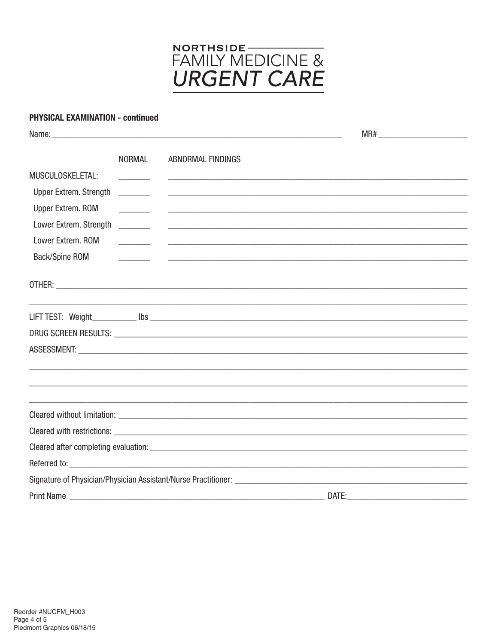

## **PHYSICAL EXAMINATION - continued**

|                               | <b>NORMAL</b>                                                                                                                                                                                                                                                                                                                                   | ABNORMAL FINDINGS                                                                                                     |       |  |
|-------------------------------|-------------------------------------------------------------------------------------------------------------------------------------------------------------------------------------------------------------------------------------------------------------------------------------------------------------------------------------------------|-----------------------------------------------------------------------------------------------------------------------|-------|--|
| MUSCULOSKELETAL:              |                                                                                                                                                                                                                                                                                                                                                 |                                                                                                                       |       |  |
| <b>Upper Extrem. Strength</b> | $\frac{1}{1}$                                                                                                                                                                                                                                                                                                                                   | <u> 1989 - Johann Barn, amerikan bernama di sebagai bernama di sebagai bernama di sebagai bernama di sebagai bern</u> |       |  |
| Upper Extrem. ROM             |                                                                                                                                                                                                                                                                                                                                                 | <u> 1989 - Johann John Harry Harry Harry Harry Harry Harry Harry Harry Harry Harry Harry Harry Harry Harry Harry</u>  |       |  |
| Lower Extrem. Strength        | $\begin{array}{c} \begin{array}{c} \begin{array}{c} \begin{array}{c} \end{array} \\ \begin{array}{c} \end{array} \end{array} & \begin{array}{c} \end{array} \end{array} \end{array} \end{array} \end{array} \end{array} \begin{array}{c} \begin{array}{c} \begin{array}{c} \end{array} \\ \begin{array}{c} \end{array} \end{array} \end{array}$ | <u> 1999 - Jan James James James James James James James James James James James James James James James James J</u>  |       |  |
| Lower Extrem. ROM             |                                                                                                                                                                                                                                                                                                                                                 | <u> 1999 - Jan Samuel Barbara, margaret eta idazlearen 1992</u>                                                       |       |  |
| Back/Spine ROM                |                                                                                                                                                                                                                                                                                                                                                 |                                                                                                                       |       |  |
|                               |                                                                                                                                                                                                                                                                                                                                                 |                                                                                                                       |       |  |
|                               |                                                                                                                                                                                                                                                                                                                                                 |                                                                                                                       |       |  |
|                               |                                                                                                                                                                                                                                                                                                                                                 | ,我们也不能在这里的人,我们也不能在这里的人,我们也不能在这里的人,我们也不能在这里的人,我们也不能在这里的人,我们也不能在这里的人,我们也不能在这里的人,我们也                                     |       |  |
|                               |                                                                                                                                                                                                                                                                                                                                                 |                                                                                                                       |       |  |
|                               |                                                                                                                                                                                                                                                                                                                                                 |                                                                                                                       |       |  |
|                               |                                                                                                                                                                                                                                                                                                                                                 |                                                                                                                       |       |  |
|                               |                                                                                                                                                                                                                                                                                                                                                 |                                                                                                                       |       |  |
|                               |                                                                                                                                                                                                                                                                                                                                                 |                                                                                                                       |       |  |
|                               |                                                                                                                                                                                                                                                                                                                                                 |                                                                                                                       |       |  |
|                               |                                                                                                                                                                                                                                                                                                                                                 |                                                                                                                       |       |  |
|                               |                                                                                                                                                                                                                                                                                                                                                 |                                                                                                                       |       |  |
|                               |                                                                                                                                                                                                                                                                                                                                                 |                                                                                                                       |       |  |
|                               |                                                                                                                                                                                                                                                                                                                                                 |                                                                                                                       |       |  |
|                               |                                                                                                                                                                                                                                                                                                                                                 | Signature of Physician/Physician Assistant/Nurse Practitioner:                                                        |       |  |
| <b>Print Name</b>             |                                                                                                                                                                                                                                                                                                                                                 |                                                                                                                       | DATE: |  |